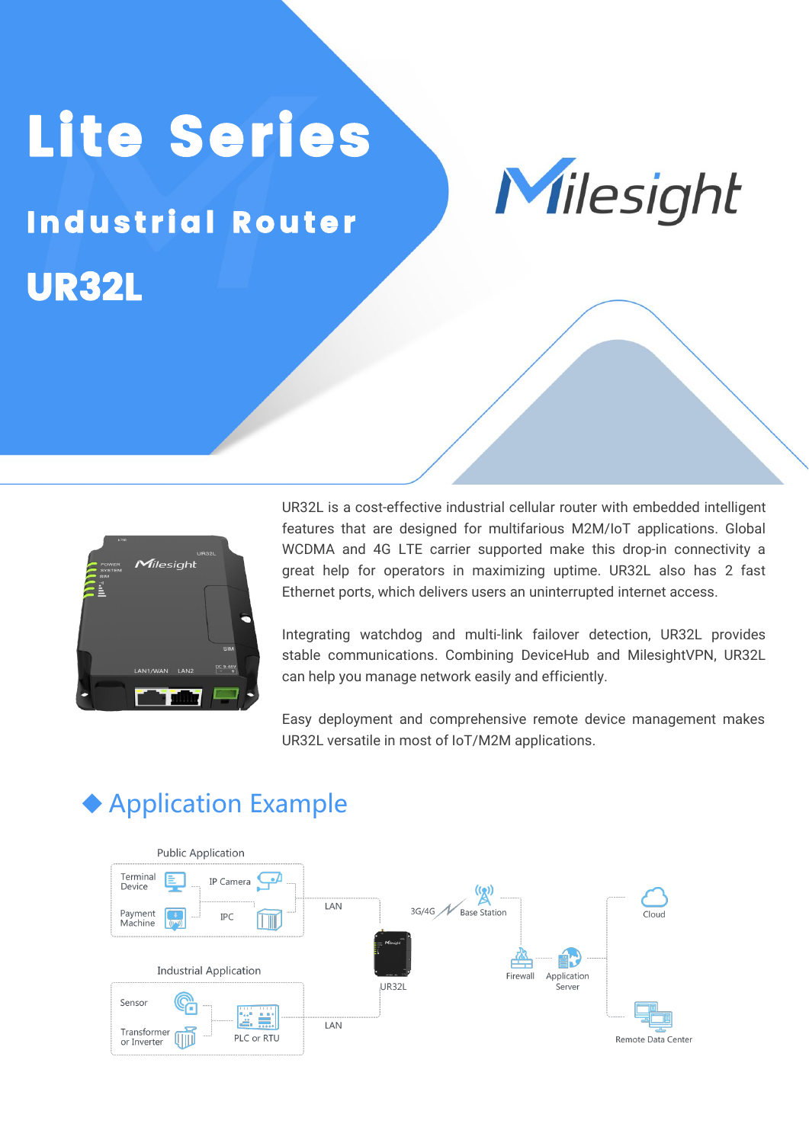# Lite Series<br>Milesight

UR32L **Industrial Router** 



UR32L is a cost-effective industrial cellular router with embedded intelligent features that are designed for multifarious M2M/IoT applications. Global WCDMA and 4G LTE carrier supported make this drop-in connectivity a great help for operators in maximizing uptime. UR32L also has 2 fast Ethernet ports, which delivers users an uninterrupted internet access.

Integrating watchdog and multi-link failover detection, UR32L provides stable communications. Combining DeviceHub and MilesightVPN, UR32L can help you manage network easily and efficiently.

Easy deployment and comprehensive remote device management makes UR32L versatile in most of IoT/M2M applications.



## ◆ Application Example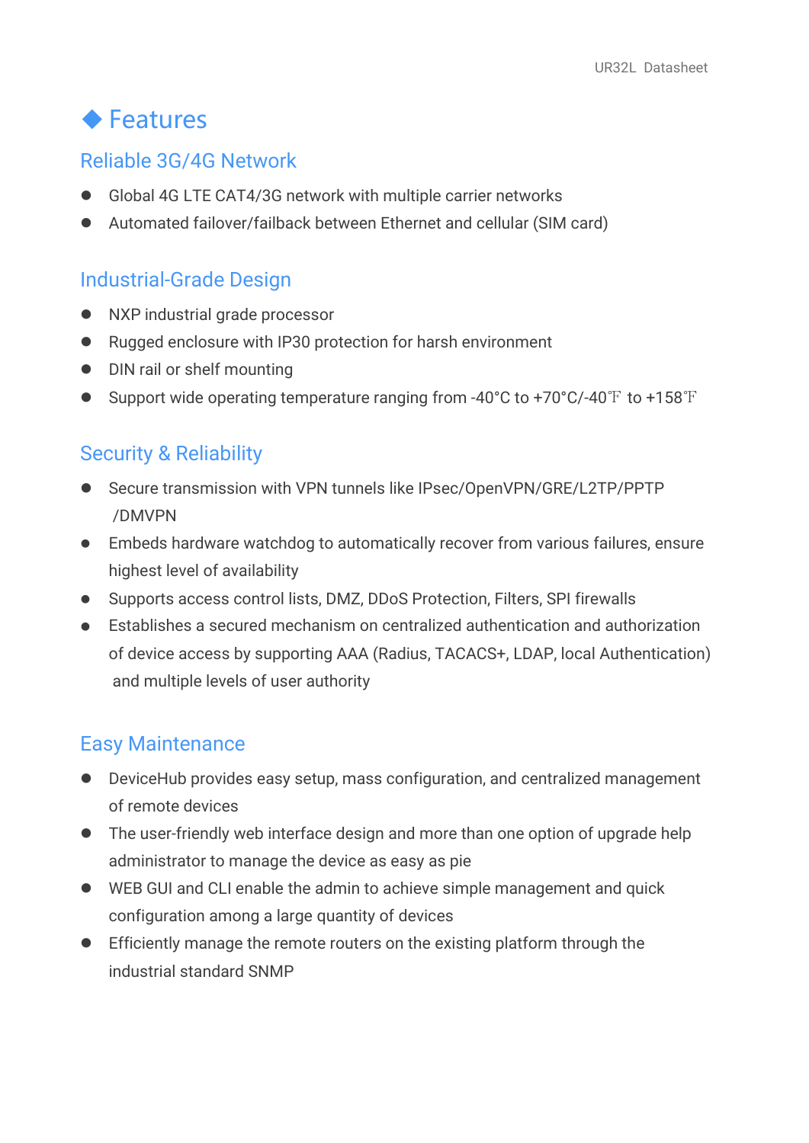## ◆ Features

#### Reliable 3G/4G Network

- Global 4G LTE CAT4/3G network with multiple carrier networks
- Automated failover/failback between Ethernet and cellular (SIM card)

#### Industrial-Grade Design

- NXP industrial grade processor
- Rugged enclosure with IP30 protection for harsh environment
- DIN rail or shelf mounting
- Support wide operating temperature ranging from -40°C to +70°C/-40℉ to +158℉

#### Security & Reliability

- Secure transmission with VPN tunnels like IPsec/OpenVPN/GRE/L2TP/PPTP /DMVPN
- Embeds hardware watchdog to automatically recover from various failures, ensure highest level of availability
- Supports access control lists, DMZ, DDoS Protection, Filters, SPI firewalls
- Establishes a secured mechanism on centralized authentication and authorization of device access by supporting AAA (Radius, TACACS+,LDAP, local Authentication) and multiple levels of user authority

#### Easy Maintenance

- DeviceHub provides easy setup, mass configuration, and centralized management of remote devices
- The user-friendly web interface design and more than one option of upgrade help administrator to manage the device as easy as pie
- WEB GUI and CLI enable the admin to achieve simple management and quick configuration among a large quantity of devices
- Efficiently manage the remote routers on the existing platform through the industrial standard SNMP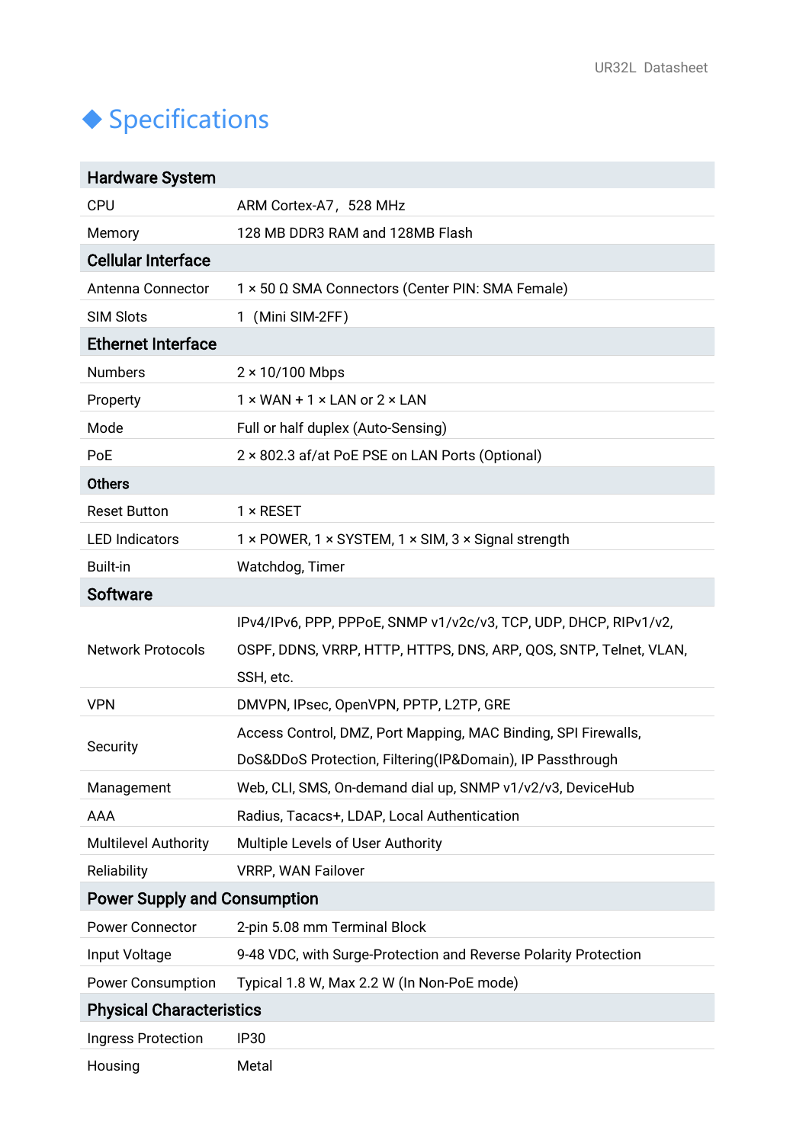# $\blacklozenge$  Specifications

| <b>Hardware System</b>              |                                                                   |
|-------------------------------------|-------------------------------------------------------------------|
| <b>CPU</b>                          | ARM Cortex-A7, 528 MHz                                            |
| Memory                              | 128 MB DDR3 RAM and 128MB Flash                                   |
| <b>Cellular Interface</b>           |                                                                   |
| Antenna Connector                   | 1 × 50 Ω SMA Connectors (Center PIN: SMA Female)                  |
| <b>SIM Slots</b>                    | 1 (Mini SIM-2FF)                                                  |
| <b>Ethernet Interface</b>           |                                                                   |
| <b>Numbers</b>                      | $2 \times 10/100$ Mbps                                            |
| Property                            | $1 \times$ WAN + 1 $\times$ LAN or 2 $\times$ LAN                 |
| Mode                                | Full or half duplex (Auto-Sensing)                                |
| PoE                                 | 2 × 802.3 af/at PoE PSE on LAN Ports (Optional)                   |
| <b>Others</b>                       |                                                                   |
| <b>Reset Button</b>                 | $1 \times$ RESET                                                  |
| <b>LED Indicators</b>               | 1 × POWER, 1 × SYSTEM, 1 × SIM, 3 × Signal strength               |
| <b>Built-in</b>                     | Watchdog, Timer                                                   |
| <b>Software</b>                     |                                                                   |
|                                     | IPv4/IPv6, PPP, PPPoE, SNMP v1/v2c/v3, TCP, UDP, DHCP, RIPv1/v2,  |
| <b>Network Protocols</b>            | OSPF, DDNS, VRRP, HTTP, HTTPS, DNS, ARP, QOS, SNTP, Telnet, VLAN, |
|                                     | SSH, etc.                                                         |
| <b>VPN</b>                          | DMVPN, IPsec, OpenVPN, PPTP, L2TP, GRE                            |
| Security                            | Access Control, DMZ, Port Mapping, MAC Binding, SPI Firewalls,    |
|                                     | DoS&DDoS Protection, Filtering(IP&Domain), IP Passthrough         |
| Management                          | Web, CLI, SMS, On-demand dial up, SNMP v1/v2/v3, DeviceHub        |
| <b>AAA</b>                          | Radius, Tacacs+, LDAP, Local Authentication                       |
| <b>Multilevel Authority</b>         | Multiple Levels of User Authority                                 |
| Reliability                         | <b>VRRP, WAN Failover</b>                                         |
| <b>Power Supply and Consumption</b> |                                                                   |
| <b>Power Connector</b>              | 2-pin 5.08 mm Terminal Block                                      |
| Input Voltage                       | 9-48 VDC, with Surge-Protection and Reverse Polarity Protection   |
| <b>Power Consumption</b>            | Typical 1.8 W, Max 2.2 W (In Non-PoE mode)                        |
| <b>Physical Characteristics</b>     |                                                                   |
| <b>Ingress Protection</b>           | <b>IP30</b>                                                       |
| Housing                             | Metal                                                             |